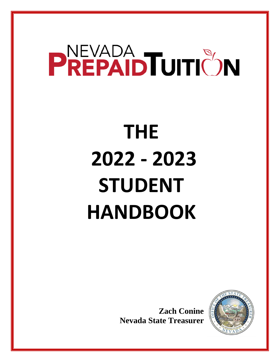# PREPAID TUITIC'N

## **THE 2022 - 2023 STUDENT HANDBOOK**

**Zach Conine Nevada State Treasurer**

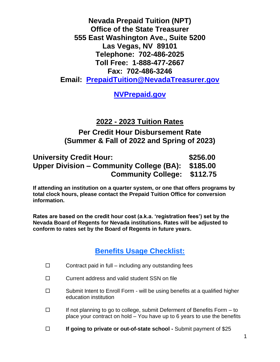**Nevada Prepaid Tuition (NPT) Office of the State Treasurer 555 East Washington Ave., Suite 5200 Las Vegas, NV 89101 Telephone: 702-486-2025 Toll Free: 1-888-477-2667 Fax: 702-486-3246 Email: [PrepaidTuition@NevadaTreasurer.gov](mailto:PrepaidTuition@NevadaTreasurer.gov)**

**[NVPrepaid.gov](http://www.nevadatreasurer.gov/)**

**2022 - 2023 Tuition Rates**

**Per Credit Hour Disbursement Rate (Summer & Fall of 2022 and Spring of 2023)**

| <b>University Credit Hour:</b>                    | \$256.00 |
|---------------------------------------------------|----------|
| Upper Division – Community College (BA): \$185.00 |          |
| <b>Community College: \$112.75</b>                |          |

**If attending an institution on a quarter system, or one that offers programs by total clock hours, please contact the Prepaid Tuition Office for conversion information.**

**Rates are based on the credit hour cost (a.k.a. 'registration fees') set by the Nevada Board of Regents for Nevada institutions. Rates will be adjusted to conform to rates set by the Board of Regents in future years.**

#### **Benefits Usage Checklist:**

- $\Box$  Contract paid in full including any outstanding fees
- $\square$  Current address and valid student SSN on file
- $\square$  Submit Intent to Enroll Form will be using benefits at a qualified higher education institution
- $\Box$  If not planning to go to college, submit Deferment of Benefits Form to place your contract on hold – You have up to 6 years to use the benefits
- **If going to private or out-of-state school -** Submit payment of \$25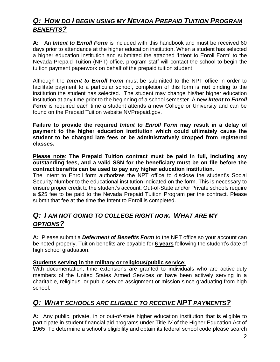#### *Q: HOW DO I BEGIN USING MY NEVADA PREPAID TUITION PROGRAM BENEFITS?*

**A:** An *Intent to Enroll Form* is included with this handbook and must be received 60 days prior to attendance at the higher education institution. When a student has selected a higher education institution and submitted the attached 'Intent to Enroll Form' to the Nevada Prepaid Tuition (NPT) office, program staff will contact the school to begin the tuition payment paperwork on behalf of the prepaid tuition student.

Although the *Intent to Enroll Form* must be submitted to the NPT office in order to facilitate payment to a particular school, completion of this form is **not** binding to the institution the student has selected. The student may change his/her higher education institution at any time prior to the beginning of a school semester. A new *Intent to Enroll*  **Form** is required each time a student attends a new College or University and can be found on the Prepaid Tuition website NVPrepaid.gov.

**Failure to provide the required** *Intent to Enroll Form* **may result in a delay of payment to the higher education institution which could ultimately cause the student to be charged late fees or be administratively dropped from registered classes.**

**Please note**: **The Prepaid Tuition contract must be paid in full, including any outstanding fees, and a valid SSN for the beneficiary must be on file before the contract benefits can be used to pay any higher education institution.**

The Intent to Enroll form authorizes the NPT office to disclose the student's Social Security Number to the educational institution indicated on the form. This is necessary to ensure proper credit to the student's account. Out-of-State and/or Private schools require a \$25 fee to be paid to the Nevada Prepaid Tuition Program per the contract. Please submit that fee at the time the Intent to Enroll is completed.

#### *Q: I AM NOT GOING TO COLLEGE RIGHT NOW. WHAT ARE MY OPTIONS?*

**A:** Please submit a *Deferment of Benefits Form* to the NPT office so your account can be noted properly. Tuition benefits are payable for **6 years** following the student's date of high school graduation.

#### **Students serving in the military or religious/public service:**

With documentation, time extensions are granted to individuals who are active-duty members of the United States Armed Services or have been actively serving in a charitable, religious, or public service assignment or mission since graduating from high school.

#### *Q: WHAT SCHOOLS ARE ELIGIBLE TO RECEIVE NPT PAYMENTS?*

**A:** Any public, private, in or out-of-state higher education institution that is eligible to participate in student financial aid programs under Title IV of the Higher Education Act of 1965. To determine a school's eligibility and obtain its federal school code please search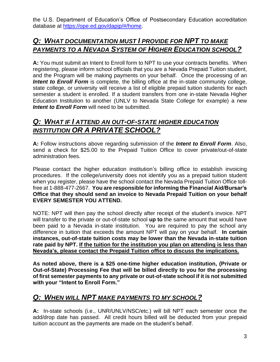the U.S. Department of Education's Office of Postsecondary Education accreditation database at [https://ope.ed.gov/dapip/#/home.](https://ope.ed.gov/dapip/#/home)

#### *Q: WHAT DOCUMENTATION MUST I PROVIDE FOR NPT TO MAKE PAYMENTS TO A NEVADA SYSTEM OF HIGHER EDUCATION SCHOOL?*

**A:** You must submit an Intent to Enroll form to NPT to use your contracts benefits. When registering, please inform school officials that you are a Nevada Prepaid Tuition student, and the Program will be making payments on your behalf. Once the processing of an **Intent to Enroll Form** is complete, the billing office at the in-state community college, state college, or university will receive a list of eligible prepaid tuition students for each semester a student is enrolled. If a student transfers from one in-state Nevada Higher Education Institution to another (UNLV to Nevada State College for example) a new *Intent to Enroll Form* will need to be submitted.

#### *Q: WHAT IF I ATTEND AN OUT-OF-STATE HIGHER EDUCATION INSTITUTION OR A PRIVATE SCHOOL?*

**A:** Follow instructions above regarding submission of the *Intent to Enroll Form*. Also, send a check for \$25.00 to the Prepaid Tuition Office to cover private/out-of-state administration fees.

Please contact the higher education institution's billing office to establish invoicing procedures. If the college/university does not identify you as a prepaid tuition student when you register, please have the school contact the Nevada Prepaid Tuition Office tollfree at 1-888-477-2667. **You are responsible for informing the Financial Aid/Bursar's Office that they should send an invoice to Nevada Prepaid Tuition on your behalf EVERY SEMESTER YOU ATTEND.**

NOTE: NPT will then pay the school directly after receipt of the student's invoice. NPT will transfer to the private or out-of-state school **up to** the same amount that would have been paid to a Nevada in-state institution. You are required to pay the school any difference in tuition that exceeds the amount NPT will pay on your behalf. **In certain instances, out-of-state tuition costs may be lower than the Nevada in-state tuition rate paid by NPT. If the tuition for the institution you plan on attending is less than Nevada's, please contact the Prepaid Tuition office to discuss the implications.**

**As noted above, there is a \$25 one-time higher education institution, (Private or Out-of-State) Processing Fee that will be billed directly to you for the processing of first semester payments to any private or out-of-state school if it is not submitted with your "Intent to Enroll Form."** 

#### *Q: WHEN WILL NPT MAKE PAYMENTS TO MY SCHOOL?*

**A:** In-state schools (i.e., UNR/UNLV/NSC/etc.) will bill NPT each semester once the add/drop date has passed. All credit hours billed will be deducted from your prepaid tuition account as the payments are made on the student's behalf.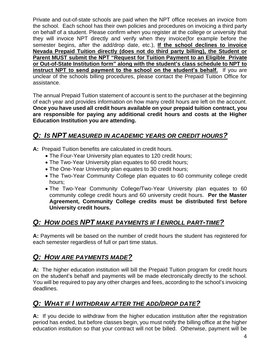Private and out-of-state schools are paid when the NPT office receives an invoice from the school. Each school has their own policies and procedures on invoicing a third party on behalf of a student. Please confirm when you register at the college or university that they will invoice NPT directly and verify when they invoice(for example before the semester begins, after the add/drop date, etc.), **If the school declines to invoice Nevada Prepaid Tuition directly (does not do third party billing), the Student or Parent MUST submit the NPT "Request for Tuition Payment to an Eligible Private or Out-of-State Institution form" along with the student's class schedule to NPT to instruct NPT to send payment to the school on the student's behalf.** If you are unclear of the schools billing procedures, please contact the Prepaid Tuition Office for assistance.

The annual Prepaid Tuition statement of account is sent to the purchaser at the beginning of each year and provides information on how many credit hours are left on the account. **Once you have used all credit hours available on your prepaid tuition contract, you are responsible for paying any additional credit hours and costs at the Higher Education Institution you are attending.**

#### *Q: IS NPT MEASURED IN ACADEMIC YEARS OR CREDIT HOURS?*

**A:** Prepaid Tuition benefits are calculated in credit hours.

- The Four-Year University plan equates to 120 credit hours;
- The Two-Year University plan equates to 60 credit hours;
- The One-Year University plan equates to 30 credit hours;
- The Two-Year Community College plan equates to 60 community college credit hours;
- The Two-Year Community College/Two-Year University plan equates to 60 community college credit hours and 60 university credit hours. **Per the Master Agreement, Community College credits must be distributed first before University credit hours.**

#### *Q: HOW DOES NPT MAKE PAYMENTS IF I ENROLL PART-TIME?*

**A:** Payments will be based on the number of credit hours the student has registered for each semester regardless of full or part time status.

#### *Q: HOW ARE PAYMENTS MADE?*

**A:** The higher education institution will bill the Prepaid Tuition program for credit hours on the student's behalf and payments will be made electronically directly to the school. You will be required to pay any other charges and fees, according to the school's invoicing deadlines.

#### *Q: WHAT IF I WITHDRAW AFTER THE ADD/DROP DATE?*

**A:** If you decide to withdraw from the higher education institution after the registration period has ended, but before classes begin, you must notify the billing office at the higher education institution so that your contract will not be billed. Otherwise, payment will be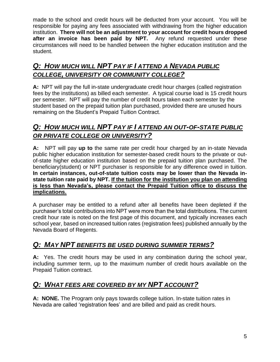made to the school and credit hours will be deducted from your account. You will be responsible for paying any fees associated with withdrawing from the higher education institution. **There will not be an adjustment to your account for credit hours dropped after an invoice has been paid by NPT.** Any refund requested under these circumstances will need to be handled between the higher education institution and the student.

#### *Q: HOW MUCH WILL NPT PAY IF I ATTEND A NEVADA PUBLIC COLLEGE, UNIVERSITY OR COMMUNITY COLLEGE?*

**A:** NPT will pay the full in-state undergraduate credit hour charges (called registration fees by the institutions) as billed each semester. A typical course load is 15 credit hours per semester. NPT will pay the number of credit hours taken each semester by the student based on the prepaid tuition plan purchased, provided there are unused hours remaining on the Student's Prepaid Tuition Contract.

#### *Q: HOW MUCH WILL NPT PAY IF I ATTEND AN OUT-OF-STATE PUBLIC OR PRIVATE COLLEGE OR UNIVERSITY?*

**A:** NPT will pay **up to** the same rate per credit hour charged by an in-state Nevada public higher education institution for semester-based credit hours to the private or outof-state higher education institution based on the prepaid tuition plan purchased. The beneficiary(student) or NPT purchaser is responsible for any difference owed in tuition. **In certain instances, out-of-state tuition costs may be lower than the Nevada instate tuition rate paid by NPT. If the tuition for the institution you plan on attending is less than Nevada's, please contact the Prepaid Tuition office to discuss the implications.**

A purchaser may be entitled to a refund after all benefits have been depleted if the purchaser's total contributions into NPT were more than the total distributions. The current credit hour rate is noted on the first page of this document, and typically increases each school year, based on increased tuition rates (registration fees) published annually by the Nevada Board of Regents.

#### *Q: MAY NPT BENEFITS BE USED DURING SUMMER TERMS?*

**A:** Yes. The credit hours may be used in any combination during the school year, including summer term, up to the maximum number of credit hours available on the Prepaid Tuition contract.

#### *Q: WHAT FEES ARE COVERED BY MY NPT ACCOUNT?*

**A: NONE.** The Program only pays towards college tuition. In-state tuition rates in Nevada are called 'registration fees' and are billed and paid as credit hours.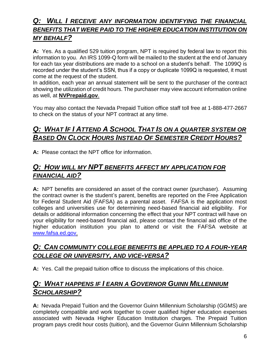#### *Q: WILL I RECEIVE ANY INFORMATION IDENTIFYING THE FINANCIAL BENEFITS THAT WERE PAID TO THE HIGHER EDUCATION INSTITUTION ON MY BEHALF?*

**A:** Yes. As a qualified 529 tuition program, NPT is required by federal law to report this information to you. An IRS 1099-Q form will be mailed to the student at the end of January for each tax year distributions are made to a school on a student's behalf. The 1099Q is recorded under the student's SSN, thus if a copy or duplicate 1099Q is requested, it must come at the request of the student.

In addition, each year an annual statement will be sent to the purchaser of the contract showing the utilization of credit hours. The purchaser may view account information online as well, at **NVPrepaid.gov**.

You may also contact the Nevada Prepaid Tuition office staff toll free at 1-888-477-2667 to check on the status of your NPT contract at any time.

#### *Q: WHAT IF I ATTEND A SCHOOL THAT IS ON A QUARTER SYSTEM OR BASED ON CLOCK HOURS INSTEAD OF SEMESTER CREDIT HOURS?*

**A:** Please contact the NPT office for information.

#### *Q: HOW WILL MY NPT BENEFITS AFFECT MY APPLICATION FOR FINANCIAL AID?*

**A:** NPT benefits are considered an asset of the contract owner (purchaser). Assuming the contract owner is the student's parent, benefits are reported on the Free Application for Federal Student Aid (FAFSA) as a parental asset. FAFSA is the application most colleges and universities use for determining need-based financial aid eligibility. For details or additional information concerning the effect that your NPT contract will have on your eligibility for need-based financial aid, please contact the financial aid office of the higher education institution you plan to attend or visit the FAFSA website at [www.fafsa.ed.gov.](http://www.fafsa.ed.gov/)

#### *Q: CAN COMMUNITY COLLEGE BENEFITS BE APPLIED TO A FOUR-YEAR COLLEGE OR UNIVERSITY, AND VICE-VERSA?*

**A:** Yes. Call the prepaid tuition office to discuss the implications of this choice.

#### *Q: WHAT HAPPENS IF I EARN A GOVERNOR GUINN MILLENNIUM SCHOLARSHIP?*

**A:** Nevada Prepaid Tuition and the Governor Guinn Millennium Scholarship (GGMS) are completely compatible and work together to cover qualified higher education expenses associated with Nevada Higher Education Institution charges. The Prepaid Tuition program pays credit hour costs (tuition), and the Governor Guinn Millennium Scholarship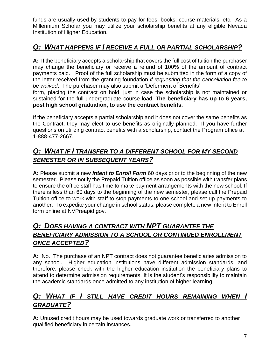funds are usually used by students to pay for fees, books, course materials, etc. As a Millennium Scholar you may utilize your scholarship benefits at any eligible Nevada Institution of Higher Education.

#### *Q: WHAT HAPPENS IF I RECEIVE A FULL OR PARTIAL SCHOLARSHIP?*

**A:** If the beneficiary accepts a scholarship that covers the full cost of tuition the purchaser may change the beneficiary or receive a refund of 100% of the amount of contract payments paid. Proof of the full scholarship must be submitted in the form of a copy of the letter received from the granting foundation *if requesting that the cancellation fee to be waived*. The purchaser may also submit a 'Deferment of Benefits'

form, placing the contract on hold, just in case the scholarship is not maintained or sustained for the full undergraduate course load. **The beneficiary has up to 6 years, post high school graduation, to use the contract benefits.**

If the beneficiary accepts a partial scholarship and it does not cover the same benefits as the Contract, they may elect to use benefits as originally planned. If you have further questions on utilizing contract benefits with a scholarship, contact the Program office at 1-888-477-2667.

#### *Q: WHAT IF I TRANSFER TO A DIFFERENT SCHOOL FOR MY SECOND SEMESTER OR IN SUBSEQUENT YEARS?*

**A:** Please submit a new *Intent to Enroll Form* 60 days prior to the beginning of the new semester. Please notify the Prepaid Tuition office as soon as possible with transfer plans to ensure the office staff has time to make payment arrangements with the new school. If there is less than 60 days to the beginning of the new semester, please call the Prepaid Tuition office to work with staff to stop payments to one school and set up payments to another. To expedite your change in school status, please complete a new Intent to Enroll form online at NVPreapid.gov.

#### *Q: DOES HAVING A CONTRACT WITH NPT GUARANTEE THE BENEFICIARY ADMISSION TO A SCHOOL OR CONTINUED ENROLLMENT ONCE ACCEPTED?*

**A:** No. The purchase of an NPT contract does not guarantee beneficiaries admission to any school. Higher education institutions have different admission standards, and therefore, please check with the higher education institution the beneficiary plans to attend to determine admission requirements. It is the student's responsibility to maintain the academic standards once admitted to any institution of higher learning.

#### *Q: WHAT IF I STILL HAVE CREDIT HOURS REMAINING WHEN I GRADUATE?*

**A:** Unused credit hours may be used towards graduate work or transferred to another qualified beneficiary in certain instances.